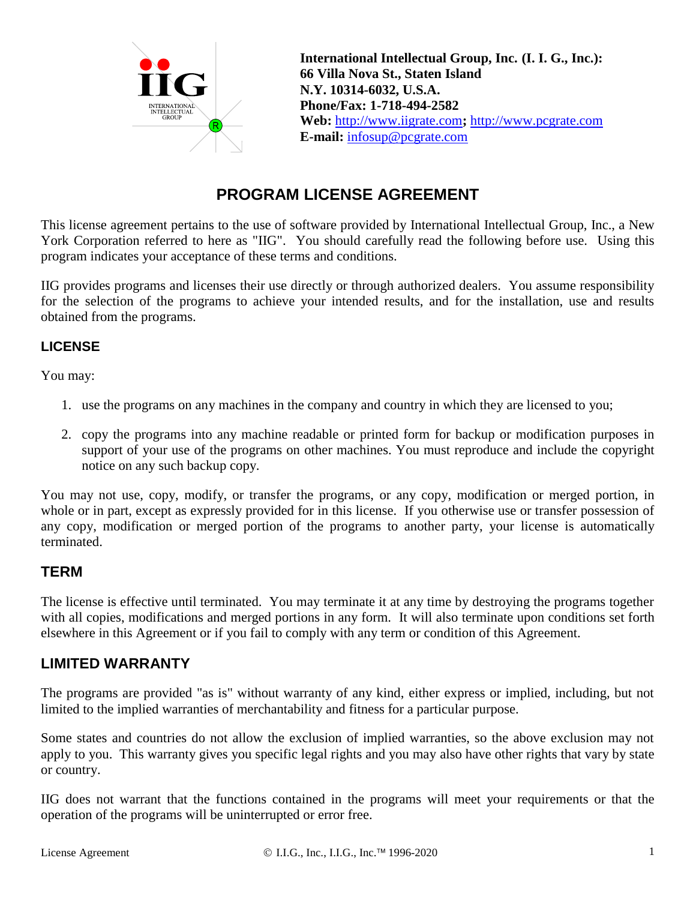

**International Intellectual Group, Inc. (I. I. G., Inc.): 66 Villa Nova St., Staten Island N.Y. 10314-6032, U.S.A. Phone/Fax: 1-718-494-2582 Web:** http://www.iigrate.com**;** http://www.pcgrate.com **E-mail:** infosup@pcgrate.com

# **PROGRAM LICENSE AGREEMENT**

This license agreement pertains to the use of software provided by International Intellectual Group, Inc., a New York Corporation referred to here as "IIG". You should carefully read the following before use. Using this program indicates your acceptance of these terms and conditions.

IIG provides programs and licenses their use directly or through authorized dealers. You assume responsibility for the selection of the programs to achieve your intended results, and for the installation, use and results obtained from the programs.

#### **LICENSE**

You may:

- 1. use the programs on any machines in the company and country in which they are licensed to you;
- 2. copy the programs into any machine readable or printed form for backup or modification purposes in support of your use of the programs on other machines. You must reproduce and include the copyright notice on any such backup copy.

You may not use, copy, modify, or transfer the programs, or any copy, modification or merged portion, in whole or in part, except as expressly provided for in this license. If you otherwise use or transfer possession of any copy, modification or merged portion of the programs to another party, your license is automatically terminated.

### **TERM**

The license is effective until terminated. You may terminate it at any time by destroying the programs together with all copies, modifications and merged portions in any form. It will also terminate upon conditions set forth elsewhere in this Agreement or if you fail to comply with any term or condition of this Agreement.

### **LIMITED WARRANTY**

The programs are provided "as is" without warranty of any kind, either express or implied, including, but not limited to the implied warranties of merchantability and fitness for a particular purpose.

Some states and countries do not allow the exclusion of implied warranties, so the above exclusion may not apply to you. This warranty gives you specific legal rights and you may also have other rights that vary by state or country.

IIG does not warrant that the functions contained in the programs will meet your requirements or that the operation of the programs will be uninterrupted or error free.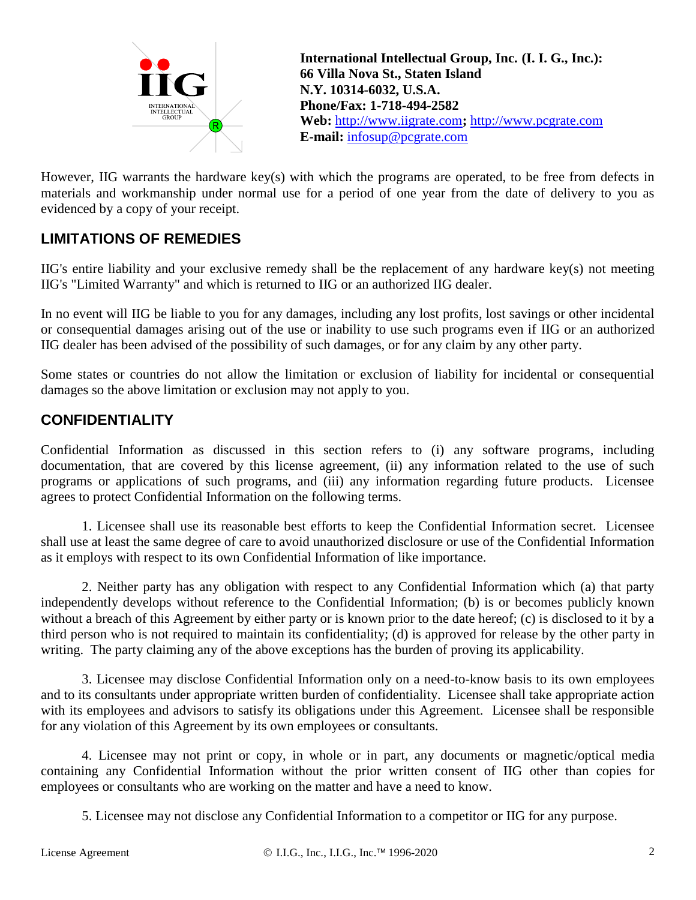

**International Intellectual Group, Inc. (I. I. G., Inc.): 66 Villa Nova St., Staten Island N.Y. 10314-6032, U.S.A. Phone/Fax: 1-718-494-2582 Web:** http://www.iigrate.com**;** http://www.pcgrate.com **E-mail:** infosup@pcgrate.com

However, IIG warrants the hardware key(s) with which the programs are operated, to be free from defects in materials and workmanship under normal use for a period of one year from the date of delivery to you as evidenced by a copy of your receipt.

# **LIMITATIONS OF REMEDIES**

IIG's entire liability and your exclusive remedy shall be the replacement of any hardware key(s) not meeting IIG's "Limited Warranty" and which is returned to IIG or an authorized IIG dealer.

In no event will IIG be liable to you for any damages, including any lost profits, lost savings or other incidental or consequential damages arising out of the use or inability to use such programs even if IIG or an authorized IIG dealer has been advised of the possibility of such damages, or for any claim by any other party.

Some states or countries do not allow the limitation or exclusion of liability for incidental or consequential damages so the above limitation or exclusion may not apply to you.

## **CONFIDENTIALITY**

Confidential Information as discussed in this section refers to (i) any software programs, including documentation, that are covered by this license agreement, (ii) any information related to the use of such programs or applications of such programs, and (iii) any information regarding future products. Licensee agrees to protect Confidential Information on the following terms.

1. Licensee shall use its reasonable best efforts to keep the Confidential Information secret. Licensee shall use at least the same degree of care to avoid unauthorized disclosure or use of the Confidential Information as it employs with respect to its own Confidential Information of like importance.

2. Neither party has any obligation with respect to any Confidential Information which (a) that party independently develops without reference to the Confidential Information; (b) is or becomes publicly known without a breach of this Agreement by either party or is known prior to the date hereof; (c) is disclosed to it by a third person who is not required to maintain its confidentiality; (d) is approved for release by the other party in writing. The party claiming any of the above exceptions has the burden of proving its applicability.

3. Licensee may disclose Confidential Information only on a need-to-know basis to its own employees and to its consultants under appropriate written burden of confidentiality. Licensee shall take appropriate action with its employees and advisors to satisfy its obligations under this Agreement. Licensee shall be responsible for any violation of this Agreement by its own employees or consultants.

4. Licensee may not print or copy, in whole or in part, any documents or magnetic/optical media containing any Confidential Information without the prior written consent of IIG other than copies for employees or consultants who are working on the matter and have a need to know.

5. Licensee may not disclose any Confidential Information to a competitor or IIG for any purpose.